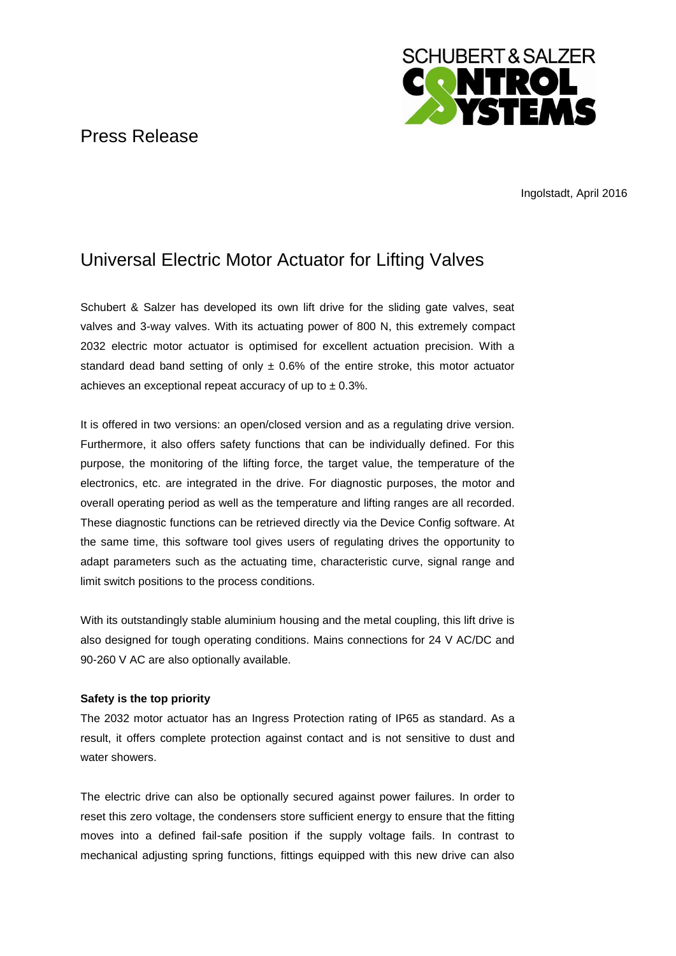## Press Release



Ingolstadt, April 2016

# Universal Electric Motor Actuator for Lifting Valves

Schubert & Salzer has developed its own lift drive for the sliding gate valves, seat valves and 3-way valves. With its actuating power of 800 N, this extremely compact 2032 electric motor actuator is optimised for excellent actuation precision. With a standard dead band setting of only  $\pm$  0.6% of the entire stroke, this motor actuator achieves an exceptional repeat accuracy of up to  $\pm$  0.3%.

It is offered in two versions: an open/closed version and as a regulating drive version. Furthermore, it also offers safety functions that can be individually defined. For this purpose, the monitoring of the lifting force, the target value, the temperature of the electronics, etc. are integrated in the drive. For diagnostic purposes, the motor and overall operating period as well as the temperature and lifting ranges are all recorded. These diagnostic functions can be retrieved directly via the Device Config software. At the same time, this software tool gives users of regulating drives the opportunity to adapt parameters such as the actuating time, characteristic curve, signal range and limit switch positions to the process conditions.

With its outstandingly stable aluminium housing and the metal coupling, this lift drive is also designed for tough operating conditions. Mains connections for 24 V AC/DC and 90-260 V AC are also optionally available.

### **Safety is the top priority**

The 2032 motor actuator has an Ingress Protection rating of IP65 as standard. As a result, it offers complete protection against contact and is not sensitive to dust and water showers.

The electric drive can also be optionally secured against power failures. In order to reset this zero voltage, the condensers store sufficient energy to ensure that the fitting moves into a defined fail-safe position if the supply voltage fails. In contrast to mechanical adjusting spring functions, fittings equipped with this new drive can also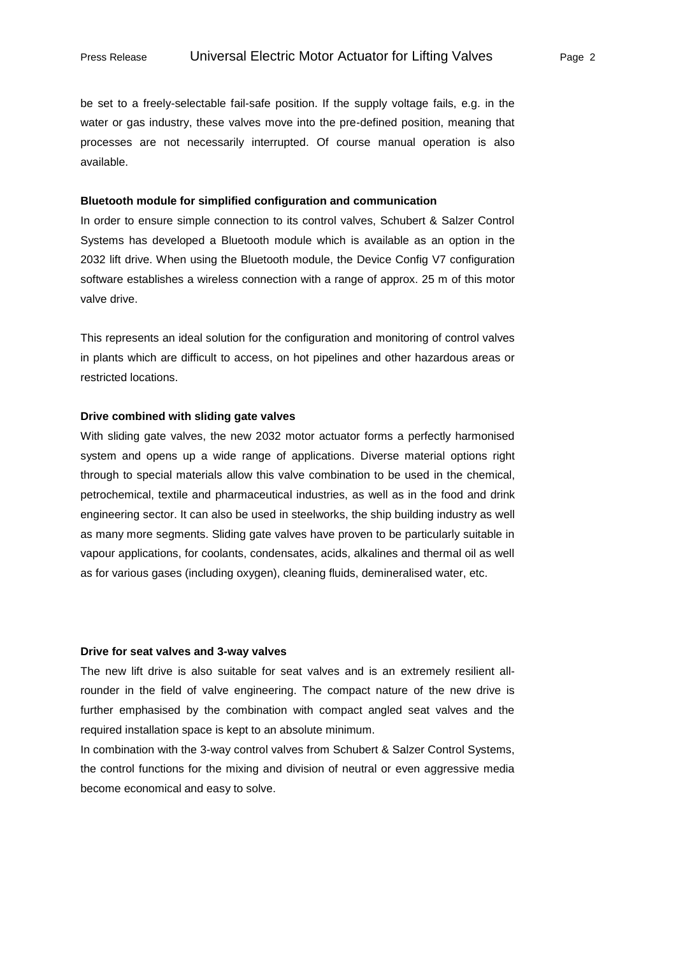be set to a freely-selectable fail-safe position. If the supply voltage fails, e.g. in the water or gas industry, these valves move into the pre-defined position, meaning that processes are not necessarily interrupted. Of course manual operation is also available.

#### **Bluetooth module for simplified configuration and communication**

In order to ensure simple connection to its control valves, Schubert & Salzer Control Systems has developed a Bluetooth module which is available as an option in the 2032 lift drive. When using the Bluetooth module, the Device Config V7 configuration software establishes a wireless connection with a range of approx. 25 m of this motor valve drive.

This represents an ideal solution for the configuration and monitoring of control valves in plants which are difficult to access, on hot pipelines and other hazardous areas or restricted locations.

#### **Drive combined with sliding gate valves**

With sliding gate valves, the new 2032 motor actuator forms a perfectly harmonised system and opens up a wide range of applications. Diverse material options right through to special materials allow this valve combination to be used in the chemical, petrochemical, textile and pharmaceutical industries, as well as in the food and drink engineering sector. It can also be used in steelworks, the ship building industry as well as many more segments. Sliding gate valves have proven to be particularly suitable in vapour applications, for coolants, condensates, acids, alkalines and thermal oil as well as for various gases (including oxygen), cleaning fluids, demineralised water, etc.

#### **Drive for seat valves and 3-way valves**

The new lift drive is also suitable for seat valves and is an extremely resilient allrounder in the field of valve engineering. The compact nature of the new drive is further emphasised by the combination with compact angled seat valves and the required installation space is kept to an absolute minimum.

In combination with the 3-way control valves from Schubert & Salzer Control Systems, the control functions for the mixing and division of neutral or even aggressive media become economical and easy to solve.